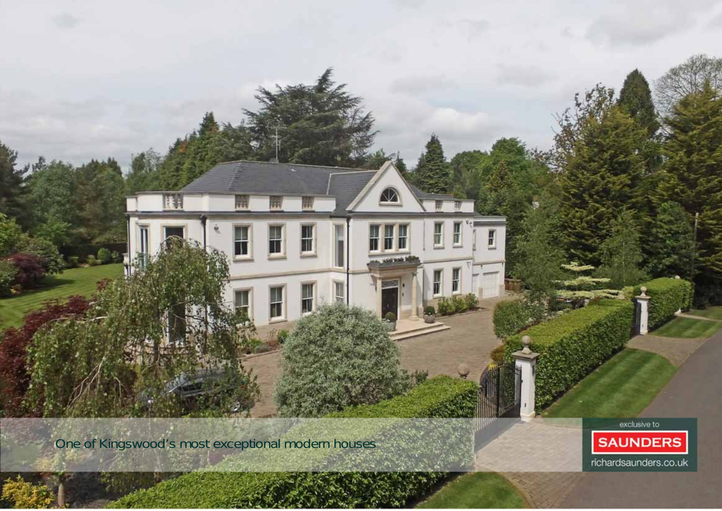One of Kingswood's most exceptional modern houses

RE.



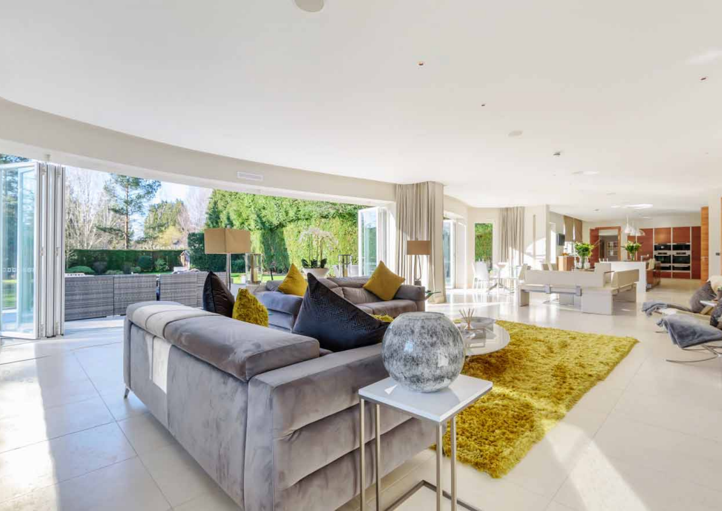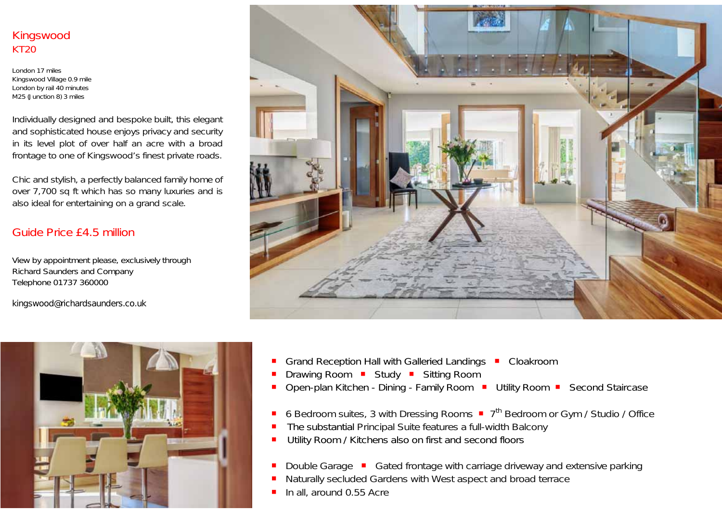## Kingswood KT20

London 17 miles Kingswood Village 0.9 mile London by rail 40 minutes M25 (Junction 8) 3 miles

Individually designed and bespoke built, this elegant and sophisticated house enjoys privacy and security in its level plot of over half an acre with a broad frontage to one of Kingswood's finest private roads.

Chic and stylish, a perfectly balanced family home of over 7,700 sq ft which has so many luxuries and is also ideal for entertaining on a grand scale.

## Guide Price £4.5 million

View by appointment please, exclusively through Richard Saunders and Company Telephone 01737 360000

kingswood@richardsaunders.co.uk





- Grand Reception Hall with Galleried Landings Cloakroom
	- Drawing Room Study Sitting Room
- Open-plan Kitchen Dining Family Room Utility Room Second Staircase
- 6 Bedroom suites, 3 with Dressing Rooms  $\blacksquare$  7<sup>th</sup> Bedroom or Gym / Studio / Office
- The substantial Principal Suite features a full-width Balcony
- Utility Room / Kitchens also on first and second floors
- Double Garage Gated frontage with carriage driveway and extensive parking
- Naturally secluded Gardens with West aspect and broad terrace
- In all, around 0.55 Acre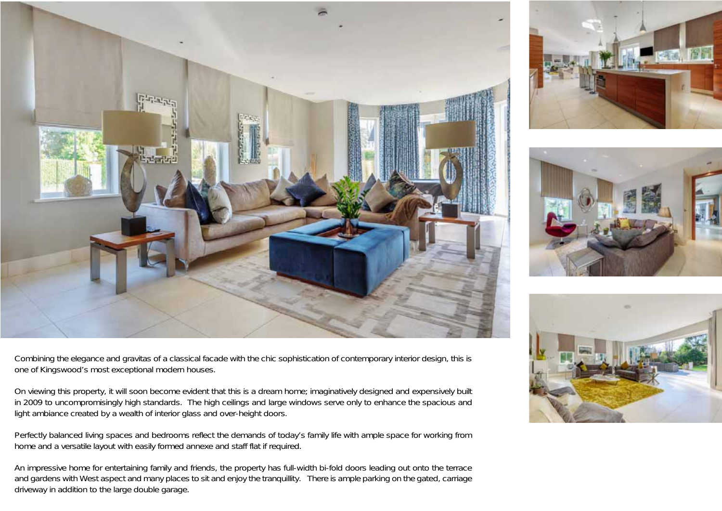

Combining the elegance and gravitas of a classical facade with the chic sophistication of contemporary interior design, this is one of Kingswood's most exceptional modern houses.

On viewing this property, it will soon become evident that this is a dream home; imaginatively designed and expensively built in 2009 to uncompromisingly high standards. The high ceilings and large windows serve only to enhance the spacious and light ambiance created by a wealth of interior glass and over-height doors.

Perfectly balanced living spaces and bedrooms reflect the demands of today's family life with ample space for working from home and a versatile layout with easily formed annexe and staff flat if required.

An impressive home for entertaining family and friends, the property has full-width bi-fold doors leading out onto the terrace and gardens with West aspect and many places to sit and enjoy the tranquillity. There is ample parking on the gated, carriage driveway in addition to the large double garage.





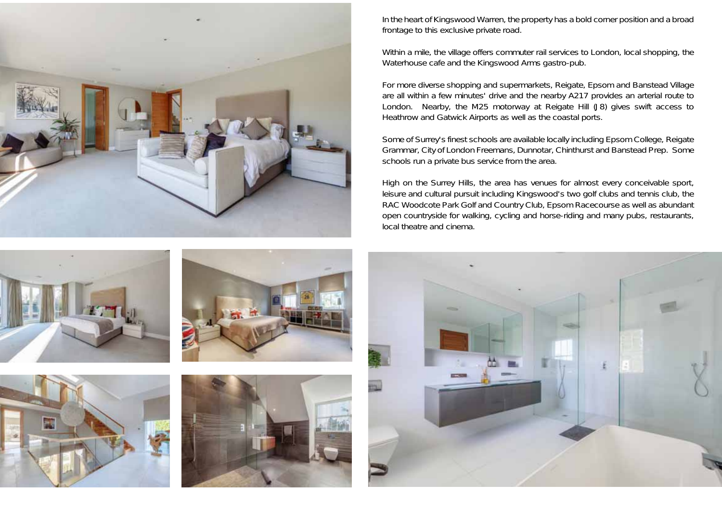



Within a mile, the village offers commuter rail services to London, local shopping, the Waterhouse cafe and the Kingswood Arms gastro-pub.

For more diverse shopping and supermarkets, Reigate, Epsom and Banstead Village are all within a few minutes' drive and the nearby A217 provides an arterial route to London. Nearby, the M25 motorway at Reigate Hill (J8) gives swift access to Heathrow and Gatwick Airports as well as the coastal ports.

Some of Surrey's finest schools are available locally including Epsom College, Reigate Grammar, City of London Freemans, Dunnotar, Chinthurst and Banstead Prep. Some schools run a private bus service from the area.

High on the Surrey Hills, the area has venues for almost every conceivable sport, leisure and cultural pursuit including Kingswood's two golf clubs and tennis club, the RAC Woodcote Park Golf and Country Club, Epsom Racecourse as well as abundant open countryside for walking, cycling and horse-riding and many pubs, restaurants, local theatre and cinema.









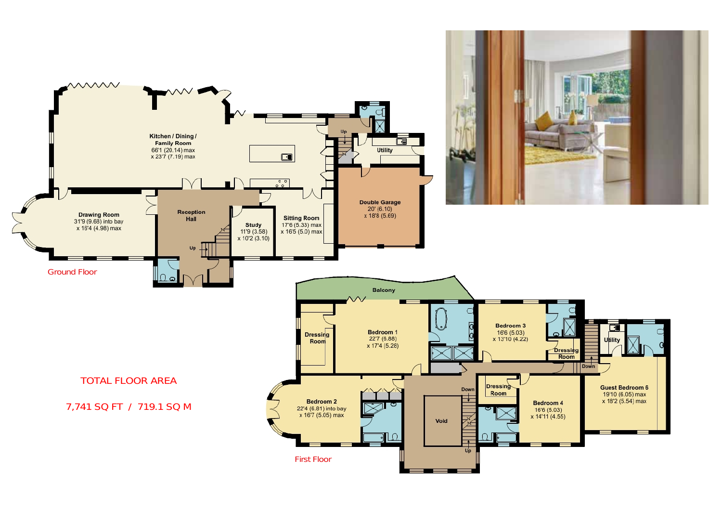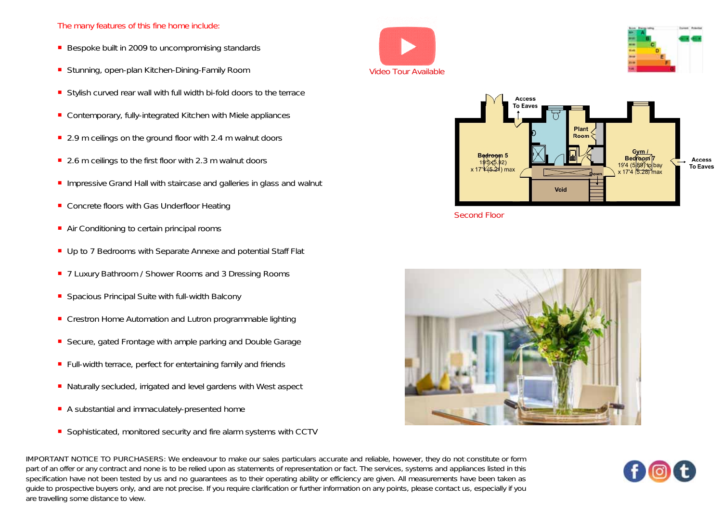## The many features of this fine home include:

- Bespoke built in 2009 to uncompromising standards
- **Stunning, open-plan Kitchen-Dining-Family Room**
- Stylish curved rear wall with full width bi-fold doors to the terrace
- Contemporary, fully-integrated Kitchen with Miele appliances
- 2.9 m ceilings on the ground floor with 2.4 m walnut doors
- 2.6 m ceilings to the first floor with 2.3 m walnut doors
- **Impressive Grand Hall with staircase and galleries in glass and walnut**
- Concrete floors with Gas Underfloor Heating
- Air Conditioning to certain principal rooms
- Up to 7 Bedrooms with Separate Annexe and potential Staff Flat
- 7 Luxury Bathroom / Shower Rooms and 3 Dressing Rooms
- **Spacious Principal Suite with full-width Balcony**
- Crestron Home Automation and Lutron programmable lighting
- Secure, gated Frontage with ample parking and Double Garage
- Full-width terrace, perfect for entertaining family and friends
- Naturally secluded, irrigated and level gardens with West aspect
- A substantial and immaculately-presented home
- Sophisticated, monitored security and fire alarm systems with CCTV







Second Floor



IMPORTANT NOTICE TO PURCHASERS: We endeavour to make our sales particulars accurate and reliable, however, they do not constitute or form part of an offer or any contract and none is to be relied upon as statements of representation or fact. The services, systems and appliances listed in this specification have not been tested by us and no guarantees as to their operating ability or efficiency are given. All measurements have been taken as guide to prospective buyers only, and are not precise. If you require clarification or further information on any points, please contact us, especially if you are travelling some distance to view.